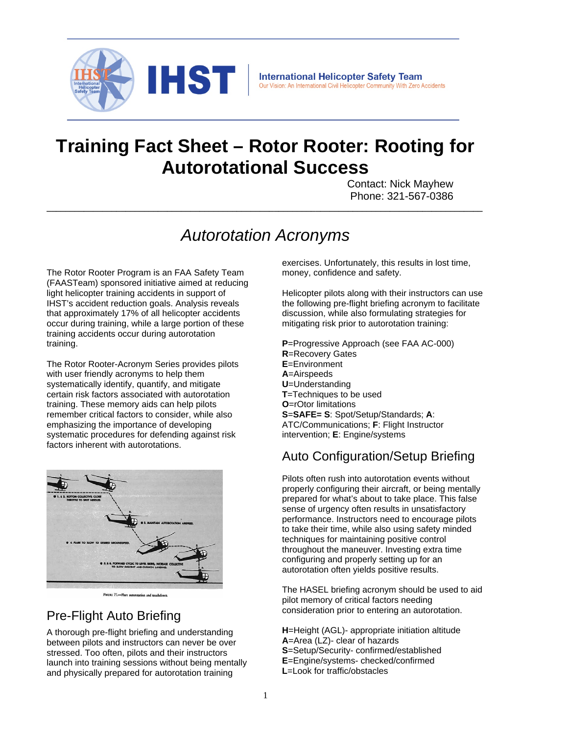

# **Training Fact Sheet – Rotor Rooter: Rooting for Autorotational Success**

Contact: Nick Mayhew Phone: 321-567-0386

## *Autorotation Acronyms*

**\_\_\_\_\_\_\_\_\_\_\_\_\_\_\_\_\_\_\_\_\_\_\_\_\_\_\_\_\_\_\_\_\_\_\_\_\_\_\_\_\_\_\_\_\_\_\_\_\_\_\_\_\_\_\_\_\_\_\_\_\_\_\_\_\_\_\_\_\_\_\_\_\_\_\_\_\_\_\_\_\_\_\_\_\_\_\_\_\_\_\_\_\_\_**

The Rotor Rooter Program is an FAA Safety Team (FAASTeam) sponsored initiative aimed at reducing light helicopter training accidents in support of IHST's accident reduction goals. Analysis reveals that approximately 17% of all helicopter accidents occur during training, while a large portion of these training accidents occur during autorotation training.

The Rotor Rooter-Acronym Series provides pilots with user friendly acronyms to help them systematically identify, quantify, and mitigate certain risk factors associated with autorotation training. These memory aids can help pilots remember critical factors to consider, while also emphasizing the importance of developing systematic procedures for defending against risk factors inherent with autorotations.



## Pre-Flight Auto Briefing

A thorough pre-flight briefing and understanding between pilots and instructors can never be over stressed. Too often, pilots and their instructors launch into training sessions without being mentally and physically prepared for autorotation training

exercises. Unfortunately, this results in lost time, money, confidence and safety.

Helicopter pilots along with their instructors can use the following pre-flight briefing acronym to facilitate discussion, while also formulating strategies for mitigating risk prior to autorotation training:

**P**=Progressive Approach (see FAA AC-000) **R**=Recovery Gates **E**=Environment **A**=Airspeeds **U**=Understanding **T**=Techniques to be used **O**=rOtor limitations **S**=**SAFE= S**: Spot/Setup/Standards; **A**: ATC/Communications; **F**: Flight Instructor intervention; **E**: Engine/systems

## Auto Configuration/Setup Briefing

Pilots often rush into autorotation events without properly configuring their aircraft, or being mentally prepared for what's about to take place. This false sense of urgency often results in unsatisfactory performance. Instructors need to encourage pilots to take their time, while also using safety minded techniques for maintaining positive control throughout the maneuver. Investing extra time configuring and properly setting up for an autorotation often yields positive results.

The HASEL briefing acronym should be used to aid pilot memory of critical factors needing consideration prior to entering an autorotation.

**H**=Height (AGL)- appropriate initiation altitude **A**=Area (LZ)- clear of hazards **S**=Setup/Security- confirmed/established **E**=Engine/systems- checked/confirmed **L**=Look for traffic/obstacles